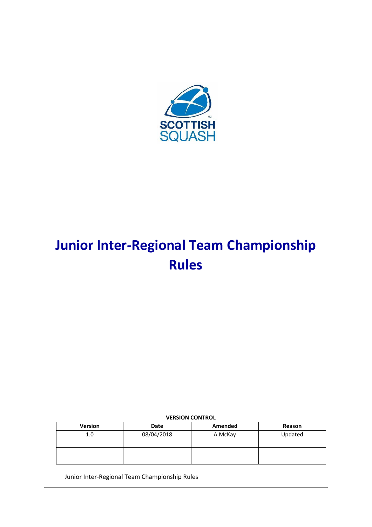

# **Junior Inter-Regional Team Championship Rules**

# **VERSION CONTROL**

| <b>Version</b> | Date       | Amended | Reason  |
|----------------|------------|---------|---------|
| 1.0            | 08/04/2018 | A.McKay | Updated |
|                |            |         |         |
|                |            |         |         |
|                |            |         |         |

Junior Inter-Regional Team Championship Rules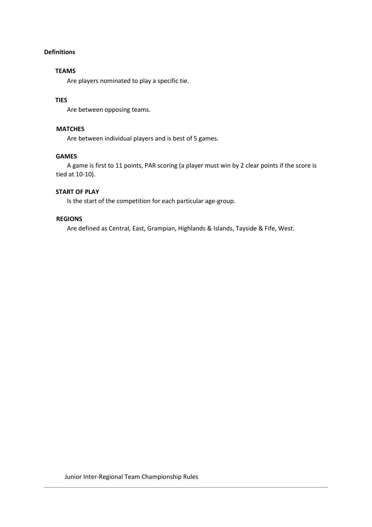# **Definitions**

#### **TEAMS**

Are players nominated to play a specific tie.

# **TIES**

Are between opposing teams.

#### **MATCHES**

Are between individual players and is best of 5 games.

#### **GAMES**

A game is first to 11 points, PAR scoring (a player must win by 2 clear points if the score is tied at 10-10).

#### **START OF PLAY**

Is the start of the competition for each particular age-group.

# **REGIONS**

Are defined as Central, East, Grampian, Highlands & Islands, Tayside & Fife, West.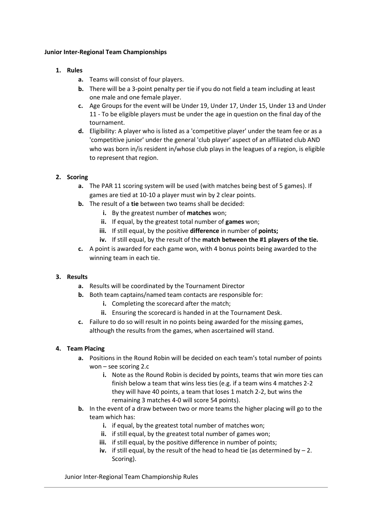#### **Junior Inter-Regional Team Championships**

## **1. Rules**

- **a.** Teams will consist of four players.
- **b.** There will be a 3-point penalty per tie if you do not field a team including at least one male and one female player.
- **c.** Age Groups for the event will be Under 19, Under 17, Under 15, Under 13 and Under 11 - To be eligible players must be under the age in question on the final day of the tournament.
- **d.** Eligibility: A player who is listed as a 'competitive player' under the team fee or as a 'competitive junior' under the general 'club player' aspect of an affiliated club AND who was born in/is resident in/whose club plays in the leagues of a region, is eligible to represent that region.

# **2. Scoring**

- **a.** The PAR 11 scoring system will be used (with matches being best of 5 games). If games are tied at 10-10 a player must win by 2 clear points.
- **b.** The result of a **tie** between two teams shall be decided:
	- **i.** By the greatest number of **matches** won;
	- **ii.** If equal, by the greatest total number of **games** won;
	- **iii.** If still equal, by the positive **difference** in number of **points;**
	- **iv.** If still equal, by the result of the **match between the #1 players of the tie.**
- **c.** A point is awarded for each game won, with 4 bonus points being awarded to the winning team in each tie.

# **3. Results**

- **a.** Results will be coordinated by the Tournament Director
- **b.** Both team captains/named team contacts are responsible for:
	- **i.** Completing the scorecard after the match;
	- **ii.** Ensuring the scorecard is handed in at the Tournament Desk.
- **c.** Failure to do so will result in no points being awarded for the missing games, although the results from the games, when ascertained will stand.

# **4. Team Placing**

- **a.** Positions in the Round Robin will be decided on each team's total number of points won – see scoring 2.c
	- **i.** Note as the Round Robin is decided by points, teams that win more ties can finish below a team that wins less ties (e.g. if a team wins 4 matches 2-2 they will have 40 points, a team that loses 1 match 2-2, but wins the remaining 3 matches 4-0 will score 54 points).
- **b.** In the event of a draw between two or more teams the higher placing will go to the team which has:
	- **i.** if equal, by the greatest total number of matches won;
	- **ii.** if still equal, by the greatest total number of games won;
	- **iii.** if still equal, by the positive difference in number of points;
	- **iv.** if still equal, by the result of the head to head tie (as determined by 2. Scoring).

Junior Inter-Regional Team Championship Rules